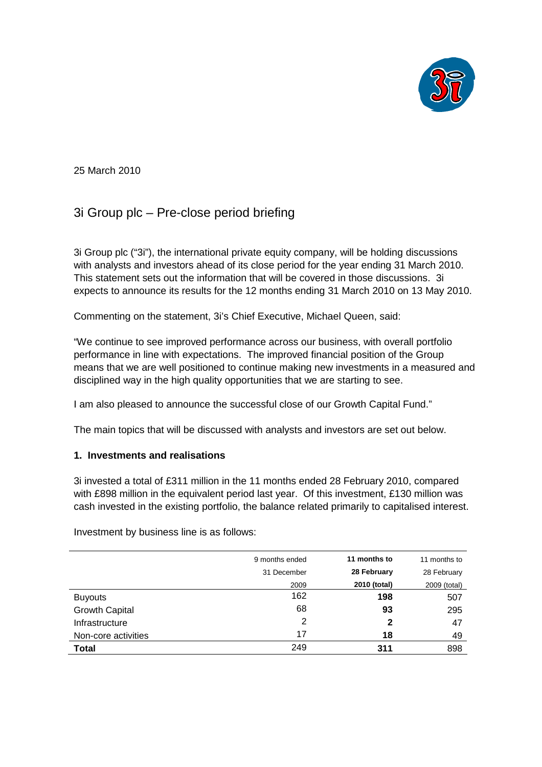

25 March 2010

# 3i Group plc – Pre-close period briefing

3i Group plc ("3i"), the international private equity company, will be holding discussions with analysts and investors ahead of its close period for the year ending 31 March 2010. This statement sets out the information that will be covered in those discussions. 3i expects to announce its results for the 12 months ending 31 March 2010 on 13 May 2010.

Commenting on the statement, 3i's Chief Executive, Michael Queen, said:

"We continue to see improved performance across our business, with overall portfolio performance in line with expectations. The improved financial position of the Group means that we are well positioned to continue making new investments in a measured and disciplined way in the high quality opportunities that we are starting to see.

I am also pleased to announce the successful close of our Growth Capital Fund."

The main topics that will be discussed with analysts and investors are set out below.

## **1. Investments and realisations**

3i invested a total of £311 million in the 11 months ended 28 February 2010, compared with £898 million in the equivalent period last year. Of this investment, £130 million was cash invested in the existing portfolio, the balance related primarily to capitalised interest.

| 9 months ended | 11 months to | 11 months to |
|----------------|--------------|--------------|
| 31 December    | 28 February  | 28 February  |
| 2009           | 2010 (total) | 2009 (total) |
| 162            | 198          | 507          |
| 68             | 93           | 295          |
| 2              | 2            | 47           |
| 17             | 18           | 49           |
| 249            | 311          | 898          |
|                |              |              |

Investment by business line is as follows: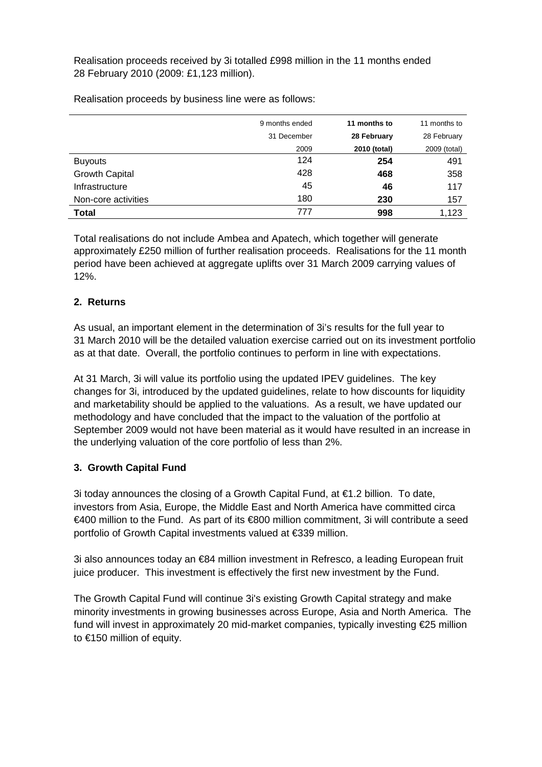Realisation proceeds received by 3i totalled £998 million in the 11 months ended 28 February 2010 (2009: £1,123 million).

9 months ended **11 months to** 11 months to 31 December **28 February** 28 February 2009 **2010 (total)** 2009 (total) Buyouts 124 **254** 491 Growth Capital 428 **468** 358 Infrastructure 45 **46** 117 Non-core activities 180 **230** 157 **Total** 777 **998** 1,123

Realisation proceeds by business line were as follows:

Total realisations do not include Ambea and Apatech, which together will generate approximately £250 million of further realisation proceeds. Realisations for the 11 month period have been achieved at aggregate uplifts over 31 March 2009 carrying values of 12%.

### **2. Returns**

As usual, an important element in the determination of 3i's results for the full year to 31 March 2010 will be the detailed valuation exercise carried out on its investment portfolio as at that date. Overall, the portfolio continues to perform in line with expectations.

At 31 March, 3i will value its portfolio using the updated IPEV guidelines. The key changes for 3i, introduced by the updated guidelines, relate to how discounts for liquidity and marketability should be applied to the valuations. As a result, we have updated our methodology and have concluded that the impact to the valuation of the portfolio at September 2009 would not have been material as it would have resulted in an increase in the underlying valuation of the core portfolio of less than 2%.

### **3. Growth Capital Fund**

3i today announces the closing of a Growth Capital Fund, at  $\epsilon$ 1.2 billion. To date, investors from Asia, Europe, the Middle East and North America have committed circa €400 million to the Fund. As part of its €800 million commitment, 3i will contribute a seed portfolio of Growth Capital investments valued at €339 million.

3i also announces today an €84 million investment in Refresco, a leading European fruit juice producer. This investment is effectively the first new investment by the Fund.

The Growth Capital Fund will continue 3i's existing Growth Capital strategy and make minority investments in growing businesses across Europe, Asia and North America. The fund will invest in approximately 20 mid-market companies, typically investing €25 million to €150 million of equity.